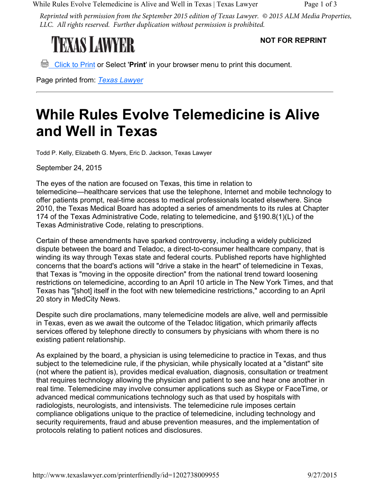While Rules Evolve Telemedicine is Alive and Well in Texas | Texas Lawyer Page 1 of 3

*Reprinted with permission from the September 2015 edition of Texas Lawyer. © 2015 ALM Media Properties, LLC. All rights reserved. Further duplication without permission is prohibited.*

## **TEXAS LAWYER**

**NOT FOR REPRINT**

**E** Click to Print or Select 'Print' in your browser menu to print this document.

Page printed from: *Texas Lawyer*

## **While Rules Evolve Telemedicine is Alive and Well in Texas**

Todd P. Kelly, Elizabeth G. Myers, Eric D. Jackson, Texas Lawyer

September 24, 2015

The eyes of the nation are focused on Texas, this time in relation to telemedicine—healthcare services that use the telephone, Internet and mobile technology to offer patients prompt, real-time access to medical professionals located elsewhere. Since 2010, the Texas Medical Board has adopted a series of amendments to its rules at Chapter 174 of the Texas Administrative Code, relating to telemedicine, and §190.8(1)(L) of the Texas Administrative Code, relating to prescriptions.

Certain of these amendments have sparked controversy, including a widely publicized dispute between the board and Teladoc, a direct-to-consumer healthcare company, that is winding its way through Texas state and federal courts. Published reports have highlighted concerns that the board's actions will "drive a stake in the heart" of telemedicine in Texas, that Texas is "moving in the opposite direction" from the national trend toward loosening restrictions on telemedicine, according to an April 10 article in The New York Times, and that Texas has "[shot] itself in the foot with new telemedicine restrictions," according to an April 20 story in MedCity News.

Despite such dire proclamations, many telemedicine models are alive, well and permissible in Texas, even as we await the outcome of the Teladoc litigation, which primarily affects services offered by telephone directly to consumers by physicians with whom there is no existing patient relationship.

As explained by the board, a physician is using telemedicine to practice in Texas, and thus subject to the telemedicine rule, if the physician, while physically located at a "distant" site (not where the patient is), provides medical evaluation, diagnosis, consultation or treatment that requires technology allowing the physician and patient to see and hear one another in real time. Telemedicine may involve consumer applications such as Skype or FaceTime, or advanced medical communications technology such as that used by hospitals with radiologists, neurologists, and intensivists. The telemedicine rule imposes certain compliance obligations unique to the practice of telemedicine, including technology and security requirements, fraud and abuse prevention measures, and the implementation of protocols relating to patient notices and disclosures.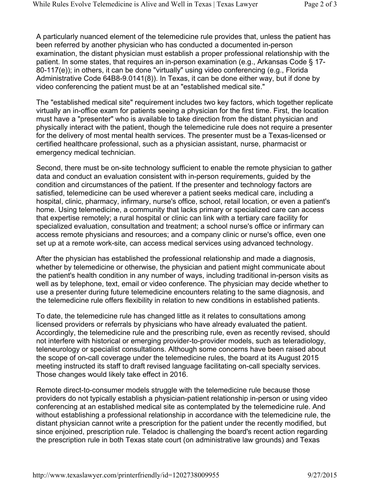A particularly nuanced element of the telemedicine rule provides that, unless the patient has been referred by another physician who has conducted a documented in-person examination, the distant physician must establish a proper professional relationship with the patient. In some states, that requires an in-person examination (e.g., Arkansas Code § 17- 80-117(e)); in others, it can be done "virtually" using video conferencing (e.g., Florida Administrative Code 64B8-9.0141(8)). In Texas, it can be done either way, but if done by video conferencing the patient must be at an "established medical site."

The "established medical site" requirement includes two key factors, which together replicate virtually an in-office exam for patients seeing a physician for the first time. First, the location must have a "presenter" who is available to take direction from the distant physician and physically interact with the patient, though the telemedicine rule does not require a presenter for the delivery of most mental health services. The presenter must be a Texas-licensed or certified healthcare professional, such as a physician assistant, nurse, pharmacist or emergency medical technician.

Second, there must be on-site technology sufficient to enable the remote physician to gather data and conduct an evaluation consistent with in-person requirements, guided by the condition and circumstances of the patient. If the presenter and technology factors are satisfied, telemedicine can be used wherever a patient seeks medical care, including a hospital, clinic, pharmacy, infirmary, nurse's office, school, retail location, or even a patient's home. Using telemedicine, a community that lacks primary or specialized care can access that expertise remotely; a rural hospital or clinic can link with a tertiary care facility for specialized evaluation, consultation and treatment; a school nurse's office or infirmary can access remote physicians and resources; and a company clinic or nurse's office, even one set up at a remote work-site, can access medical services using advanced technology.

After the physician has established the professional relationship and made a diagnosis, whether by telemedicine or otherwise, the physician and patient might communicate about the patient's health condition in any number of ways, including traditional in-person visits as well as by telephone, text, email or video conference. The physician may decide whether to use a presenter during future telemedicine encounters relating to the same diagnosis, and the telemedicine rule offers flexibility in relation to new conditions in established patients.

To date, the telemedicine rule has changed little as it relates to consultations among licensed providers or referrals by physicians who have already evaluated the patient. Accordingly, the telemedicine rule and the prescribing rule, even as recently revised, should not interfere with historical or emerging provider-to-provider models, such as teleradiology, teleneurology or specialist consultations. Although some concerns have been raised about the scope of on-call coverage under the telemedicine rules, the board at its August 2015 meeting instructed its staff to draft revised language facilitating on-call specialty services. Those changes would likely take effect in 2016.

Remote direct-to-consumer models struggle with the telemedicine rule because those providers do not typically establish a physician-patient relationship in-person or using video conferencing at an established medical site as contemplated by the telemedicine rule. And without establishing a professional relationship in accordance with the telemedicine rule, the distant physician cannot write a prescription for the patient under the recently modified, but since enjoined, prescription rule. Teladoc is challenging the board's recent action regarding the prescription rule in both Texas state court (on administrative law grounds) and Texas